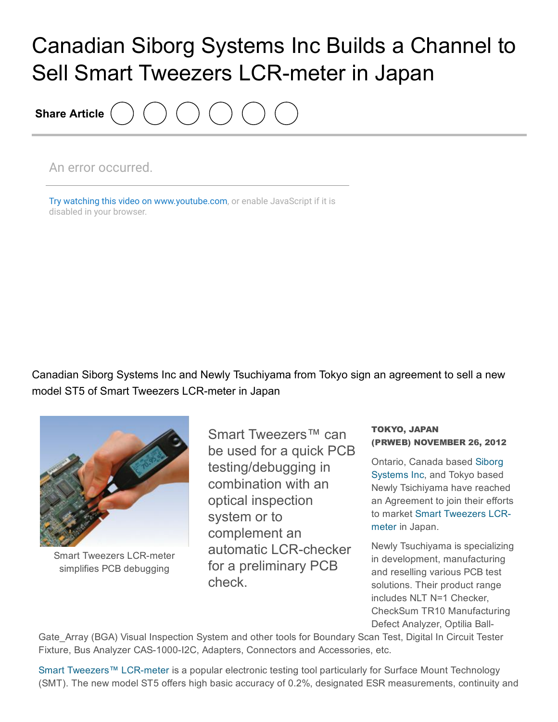## Canadian Siborg Systems Inc Builds a Channel to Sell Smart Tweezers LCR-meter in Japan

Share Article

An error occurred.

Try watching this video on [www.youtube.com,](http://www.youtube.com/watch?v=GxgBbLK9JFM) or enable JavaScript if it is disabled in your browser.

Canadian Siborg Systems Inc and Newly Tsuchiyama from Tokyo sign an agreement to sell a new model ST5 of Smart Tweezers LCR-meter in Japan



**Smart Tweezers LCR-meter** simplifies PCB debugging

Smart Tweezers<sup>™</sup> can be used for a quick PCB testing/debugging in combination with an optical inspection system or to complement an automatic LCR-checker for a preliminary PCB check.

## TOKYO, JAPAN (PRWEB) NOVEMBER 26, 2012

Ontario, Canada based Siborg [Systems](http://www.prweb.net/Redirect.aspx?id=aHR0cDovL3d3dy5zaWJvcmcuY29tL3NtYXJ0dHdlZXplcnM=) Inc, and Tokyo based Newly Tsichiyama have reached an Agreement to join their efforts to market Smart [Tweezers](http://www.prweb.net/Redirect.aspx?id=aHR0cDovL3d3dy5zbWFydHR3ZWV6ZXJzLnVz) LCRmeter in Japan.

Newly Tsuchiyama is specializing in development, manufacturing and reselling various PCB test solutions. Their product range includes NLT N=1 Checker, CheckSum TR10 Manufacturing Defect Analyzer, Optilia Ball-

Gate Array (BGA) Visual Inspection System and other tools for Boundary Scan Test, Digital In Circuit Tester Fixture, Bus Analyzer CAS-1000-I2C, Adapters, Connectors and Accessories, etc.

Smart [Tweezers™](http://www.prweb.net/Redirect.aspx?id=aHR0cDovL3d3dy5zbWFydHR3ZWV6ZXJzLmNh) LCR-meter is a popular electronic testing tool particularly for Surface Mount Technology (SMT). The new model ST5 offers high basic accuracy of 0.2%, designated ESR measurements, continuity and